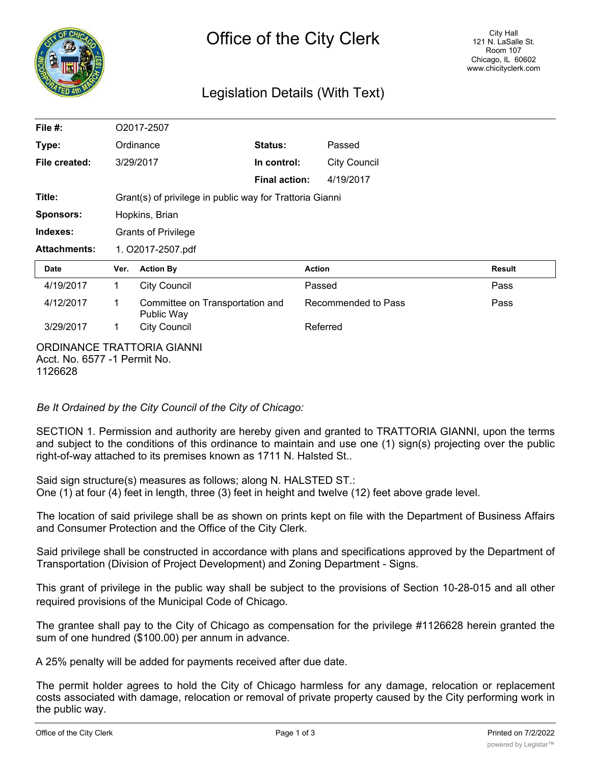

# Legislation Details (With Text)

| File #:             |                                                          | O2017-2507                                    |                      |                     |               |  |
|---------------------|----------------------------------------------------------|-----------------------------------------------|----------------------|---------------------|---------------|--|
| Type:               |                                                          | Ordinance                                     | <b>Status:</b>       | Passed              |               |  |
| File created:       |                                                          | 3/29/2017                                     | In control:          | <b>City Council</b> |               |  |
|                     |                                                          |                                               | <b>Final action:</b> | 4/19/2017           |               |  |
| Title:              | Grant(s) of privilege in public way for Trattoria Gianni |                                               |                      |                     |               |  |
| Sponsors:           | Hopkins, Brian                                           |                                               |                      |                     |               |  |
| Indexes:            |                                                          | <b>Grants of Privilege</b>                    |                      |                     |               |  |
| <b>Attachments:</b> | 1. O2017-2507.pdf                                        |                                               |                      |                     |               |  |
|                     |                                                          |                                               |                      |                     |               |  |
| <b>Date</b>         | Ver.                                                     | <b>Action By</b>                              |                      | <b>Action</b>       | <b>Result</b> |  |
| 4/19/2017           | 1                                                        | <b>City Council</b>                           |                      | Passed              | Pass          |  |
| 4/12/2017           | 1                                                        | Committee on Transportation and<br>Public Way |                      | Recommended to Pass | Pass          |  |
| 3/29/2017           | 1.                                                       | <b>City Council</b>                           |                      | Referred            |               |  |

*Be It Ordained by the City Council of the City of Chicago:*

SECTION 1. Permission and authority are hereby given and granted to TRATTORIA GIANNI, upon the terms and subject to the conditions of this ordinance to maintain and use one (1) sign(s) projecting over the public right-of-way attached to its premises known as 1711 N. Halsted St..

Said sign structure(s) measures as follows; along N. HALSTED ST.: One (1) at four (4) feet in length, three (3) feet in height and twelve (12) feet above grade level.

The location of said privilege shall be as shown on prints kept on file with the Department of Business Affairs and Consumer Protection and the Office of the City Clerk.

Said privilege shall be constructed in accordance with plans and specifications approved by the Department of Transportation (Division of Project Development) and Zoning Department - Signs.

This grant of privilege in the public way shall be subject to the provisions of Section 10-28-015 and all other required provisions of the Municipal Code of Chicago.

The grantee shall pay to the City of Chicago as compensation for the privilege #1126628 herein granted the sum of one hundred (\$100.00) per annum in advance.

A 25% penalty will be added for payments received after due date.

The permit holder agrees to hold the City of Chicago harmless for any damage, relocation or replacement costs associated with damage, relocation or removal of private property caused by the City performing work in the public way.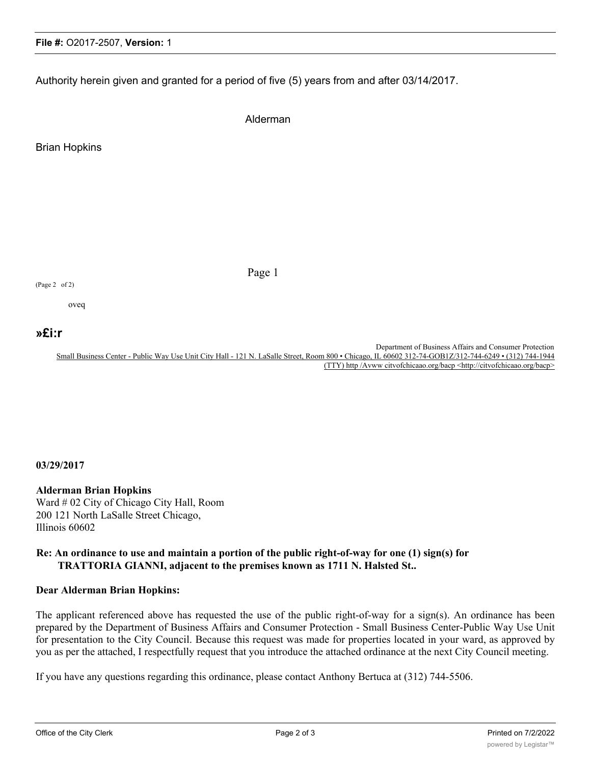## **File #:** O2017-2507, **Version:** 1

Authority herein given and granted for a period of five (5) years from and after 03/14/2017.

Alderman

Page 1

Brian Hopkins

(Page 2 of 2)

oveq

# **ȣi:r**

Department of Business Affairs and Consumer Protection Small Business Center - Public Way Use Unit City Hall - 121 N. LaSalle Street, Room 800 • Chicago, IL 60602 312-74-GOB1Z/312-744-6249 • (312) 744-1944 (TTY) http /Avww citvofchicaao.org/bacp <http://citvofchicaao.org/bacp>

#### **03/29/2017**

### **Alderman Brian Hopkins**

Ward # 02 City of Chicago City Hall, Room 200 121 North LaSalle Street Chicago, Illinois 60602

#### **Re: An ordinance to use and maintain a portion of the public right-of-way for one (1) sign(s) for TRATTORIA GIANNI, adjacent to the premises known as 1711 N. Halsted St..**

#### **Dear Alderman Brian Hopkins:**

The applicant referenced above has requested the use of the public right-of-way for a sign(s). An ordinance has been prepared by the Department of Business Affairs and Consumer Protection - Small Business Center-Public Way Use Unit for presentation to the City Council. Because this request was made for properties located in your ward, as approved by you as per the attached, I respectfully request that you introduce the attached ordinance at the next City Council meeting.

If you have any questions regarding this ordinance, please contact Anthony Bertuca at (312) 744-5506.